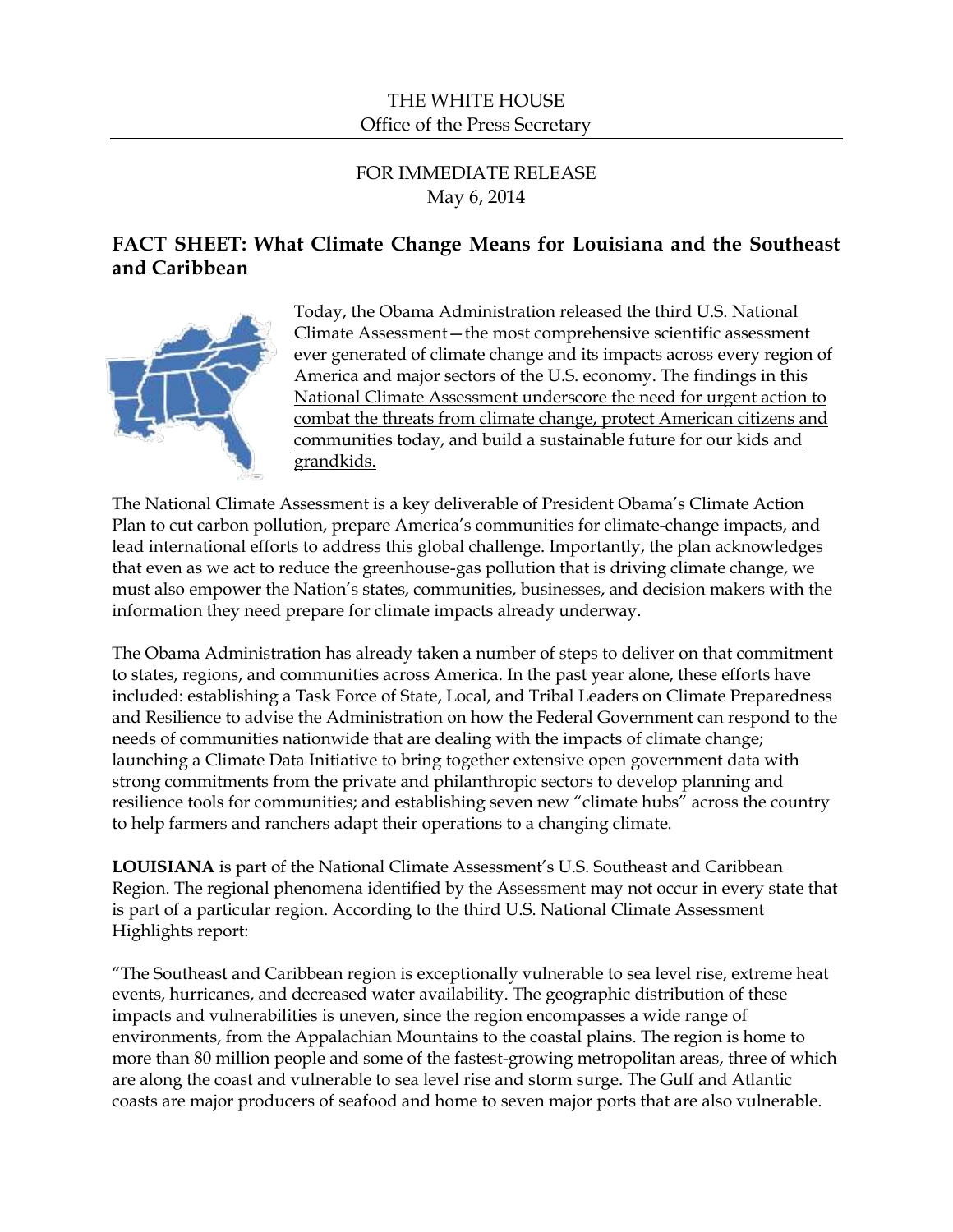## THE WHITE HOUSE Office of the Press Secretary

# FOR IMMEDIATE RELEASE May 6, 2014

# **FACT SHEET: What Climate Change Means for Louisiana and the Southeast and Caribbean**



Today, the Obama Administration released the third U.S. National Climate Assessment—the most comprehensive scientific assessment ever generated of climate change and its impacts across every region of America and major sectors of the U.S. economy. The findings in this National Climate Assessment underscore the need for urgent action to combat the threats from climate change, protect American citizens and communities today, and build a sustainable future for our kids and grandkids.

The National Climate Assessment is a key deliverable of President Obama's Climate Action Plan to cut carbon pollution, prepare America's communities for climate-change impacts, and lead international efforts to address this global challenge. Importantly, the plan acknowledges that even as we act to reduce the greenhouse-gas pollution that is driving climate change, we must also empower the Nation's states, communities, businesses, and decision makers with the information they need prepare for climate impacts already underway.

The Obama Administration has already taken a number of steps to deliver on that commitment to states, regions, and communities across America. In the past year alone, these efforts have included: establishing a Task Force of State, Local, and Tribal Leaders on Climate Preparedness and Resilience to advise the Administration on how the Federal Government can respond to the needs of communities nationwide that are dealing with the impacts of climate change; launching a Climate Data Initiative to bring together extensive open government data with strong commitments from the private and philanthropic sectors to develop planning and resilience tools for communities; and establishing seven new "climate hubs" across the country to help farmers and ranchers adapt their operations to a changing climate.

**LOUISIANA** is part of the National Climate Assessment's U.S. Southeast and Caribbean Region. The regional phenomena identified by the Assessment may not occur in every state that is part of a particular region. According to the third U.S. National Climate Assessment Highlights report:

"The Southeast and Caribbean region is exceptionally vulnerable to sea level rise, extreme heat events, hurricanes, and decreased water availability. The geographic distribution of these impacts and vulnerabilities is uneven, since the region encompasses a wide range of environments, from the Appalachian Mountains to the coastal plains. The region is home to more than 80 million people and some of the fastest-growing metropolitan areas, three of which are along the coast and vulnerable to sea level rise and storm surge. The Gulf and Atlantic coasts are major producers of seafood and home to seven major ports that are also vulnerable.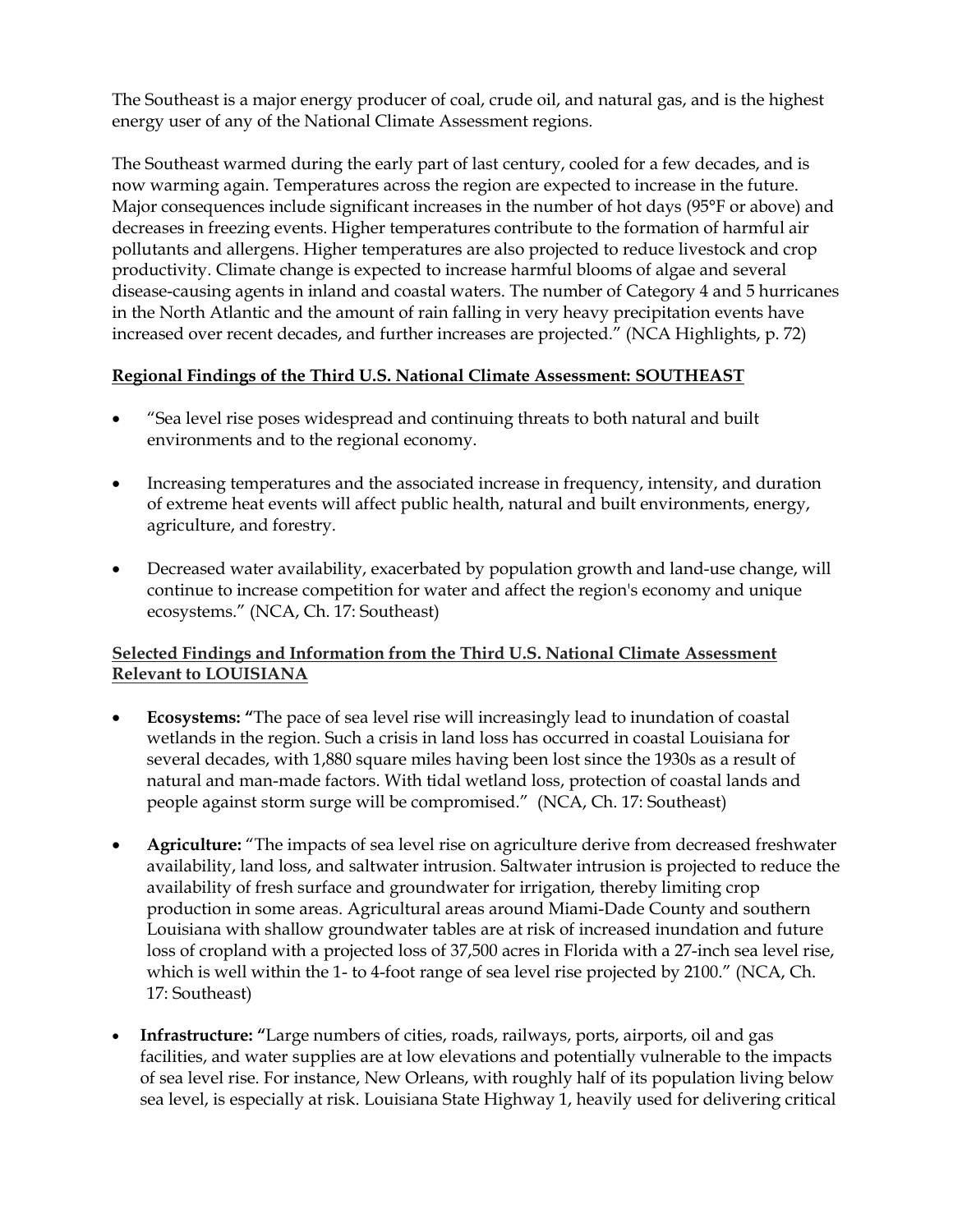The Southeast is a major energy producer of coal, crude oil, and natural gas, and is the highest energy user of any of the National Climate Assessment regions.

The Southeast warmed during the early part of last century, cooled for a few decades, and is now warming again. Temperatures across the region are expected to increase in the future. Major consequences include significant increases in the number of hot days (95°F or above) and decreases in freezing events. Higher temperatures contribute to the formation of harmful air pollutants and allergens. Higher temperatures are also projected to reduce livestock and crop productivity. Climate change is expected to increase harmful blooms of algae and several disease-causing agents in inland and coastal waters. The number of Category 4 and 5 hurricanes in the North Atlantic and the amount of rain falling in very heavy precipitation events have increased over recent decades, and further increases are projected." (NCA Highlights, p. 72)

## **Regional Findings of the Third U.S. National Climate Assessment: SOUTHEAST**

- "Sea level rise poses widespread and continuing threats to both natural and built environments and to the regional economy.
- Increasing temperatures and the associated increase in frequency, intensity, and duration of extreme heat events will affect public health, natural and built environments, energy, agriculture, and forestry.
- Decreased water availability, exacerbated by population growth and land-use change, will continue to increase competition for water and affect the region's economy and unique ecosystems." (NCA, Ch. 17: Southeast)

## **Selected Findings and Information from the Third U.S. National Climate Assessment Relevant to LOUISIANA**

- **Ecosystems: "**The pace of sea level rise will increasingly lead to inundation of coastal wetlands in the region. Such a crisis in land loss has occurred in coastal Louisiana for several decades, with 1,880 square miles having been lost since the 1930s as a result of natural and man-made factors. With tidal wetland loss, protection of coastal lands and people against storm surge will be compromised." (NCA, Ch. 17: Southeast)
- **Agriculture:** "The impacts of sea level rise on agriculture derive from decreased freshwater availability, land loss, and saltwater intrusion. Saltwater intrusion is projected to reduce the availability of fresh surface and groundwater for irrigation, thereby limiting crop production in some areas. Agricultural areas around Miami-Dade County and southern Louisiana with shallow groundwater tables are at risk of increased inundation and future loss of cropland with a projected loss of 37,500 acres in Florida with a 27-inch sea level rise, which is well within the 1- to 4-foot range of sea level rise projected by 2100." (NCA, Ch. 17: Southeast)
- **Infrastructure: "**Large numbers of cities, roads, railways, ports, airports, oil and gas facilities, and water supplies are at low elevations and potentially vulnerable to the impacts of sea level rise. For instance, New Orleans, with roughly half of its population living below sea level, is especially at risk. Louisiana State Highway 1, heavily used for delivering critical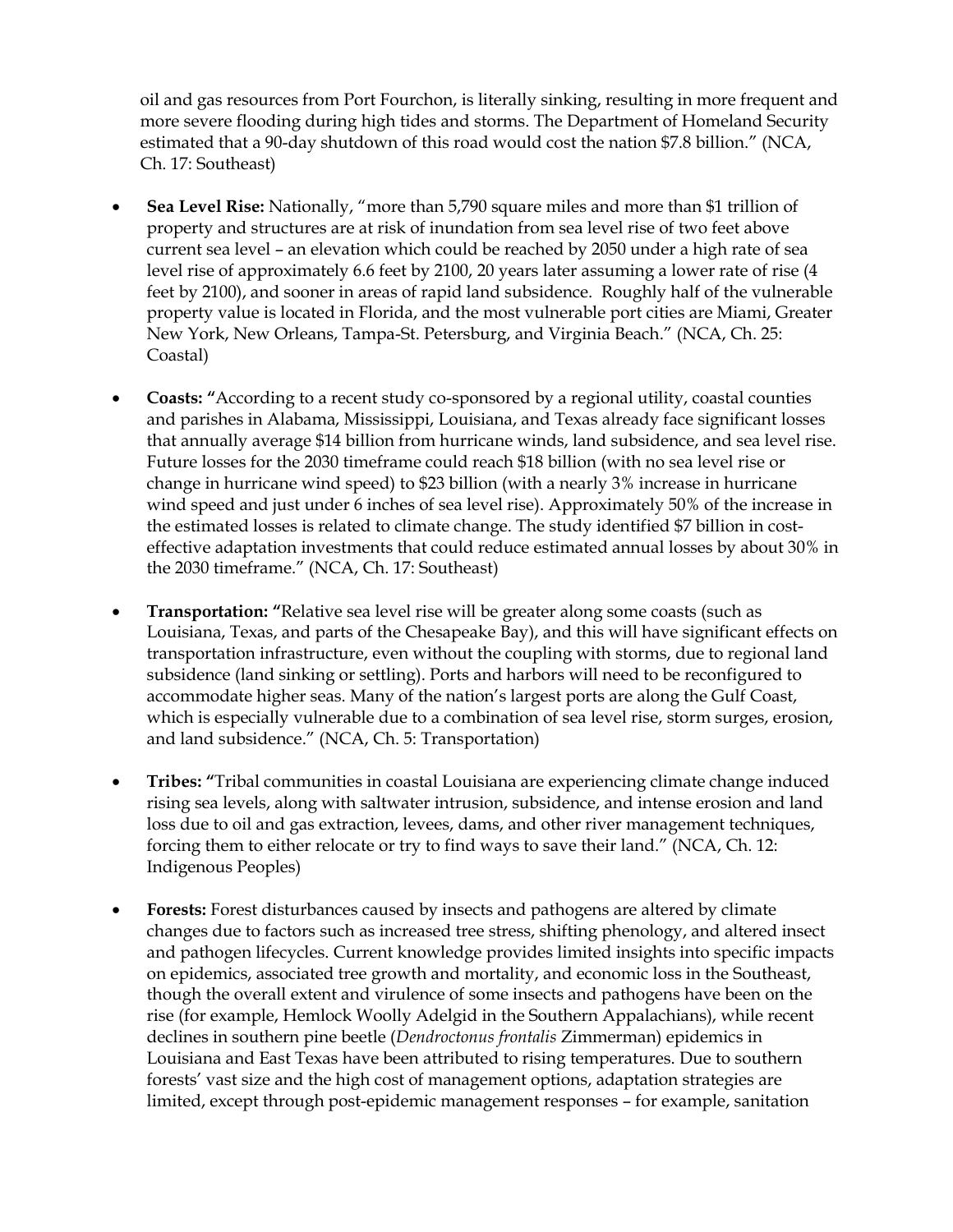oil and gas resources from Port Fourchon, is literally sinking, resulting in more frequent and more severe flooding during high tides and storms. The Department of Homeland Security estimated that a 90-day shutdown of this road would cost the nation \$7.8 billion." (NCA, Ch. 17: Southeast)

- **Sea Level Rise:** Nationally, "more than 5,790 square miles and more than \$1 trillion of property and structures are at risk of inundation from sea level rise of two feet above current sea level – an elevation which could be reached by 2050 under a high rate of sea level rise of approximately 6.6 feet by 2100, 20 years later assuming a lower rate of rise (4 feet by 2100), and sooner in areas of rapid land subsidence.Roughly half of the vulnerable property value is located in Florida, and the most vulnerable port cities are Miami, Greater New York, New Orleans, Tampa-St. Petersburg, and Virginia Beach." (NCA, Ch. 25: Coastal)
- **Coasts: "**According to a recent study co-sponsored by a regional utility, coastal counties and parishes in Alabama, Mississippi, Louisiana, and Texas already face significant losses that annually average \$14 billion from hurricane winds, land subsidence, and sea level rise. Future losses for the 2030 timeframe could reach \$18 billion (with no sea level rise or change in hurricane wind speed) to \$23 billion (with a nearly 3% increase in hurricane wind speed and just under 6 inches of sea level rise). Approximately 50% of the increase in the estimated losses is related to climate change. The study identified \$7 billion in costeffective adaptation investments that could reduce estimated annual losses by about 30% in the 2030 timeframe." (NCA, Ch. 17: Southeast)
- **Transportation: "**Relative sea level rise will be greater along some coasts (such as Louisiana, Texas, and parts of the Chesapeake Bay), and this will have significant effects on transportation infrastructure, even without the coupling with storms, due to regional land subsidence (land sinking or settling). Ports and harbors will need to be reconfigured to accommodate higher seas. Many of the nation's largest ports are along the Gulf Coast, which is especially vulnerable due to a combination of sea level rise, storm surges, erosion, and land subsidence." (NCA, Ch. 5: Transportation)
- **Tribes: "**Tribal communities in coastal Louisiana are experiencing climate change induced rising sea levels, along with saltwater intrusion, subsidence, and intense erosion and land loss due to oil and gas extraction, levees, dams, and other river management techniques, forcing them to either relocate or try to find ways to save their land." (NCA, Ch. 12: Indigenous Peoples)
- **Forests:** Forest disturbances caused by insects and pathogens are altered by climate changes due to factors such as increased tree stress, shifting phenology, and altered insect and pathogen lifecycles. Current knowledge provides limited insights into specific impacts on epidemics, associated tree growth and mortality, and economic loss in the Southeast, though the overall extent and virulence of some insects and pathogens have been on the rise (for example, Hemlock Woolly Adelgid in the Southern Appalachians), while recent declines in southern pine beetle (*Dendroctonus frontalis* Zimmerman) epidemics in Louisiana and East Texas have been attributed to rising temperatures. Due to southern forests' vast size and the high cost of management options, adaptation strategies are limited, except through post-epidemic management responses – for example, sanitation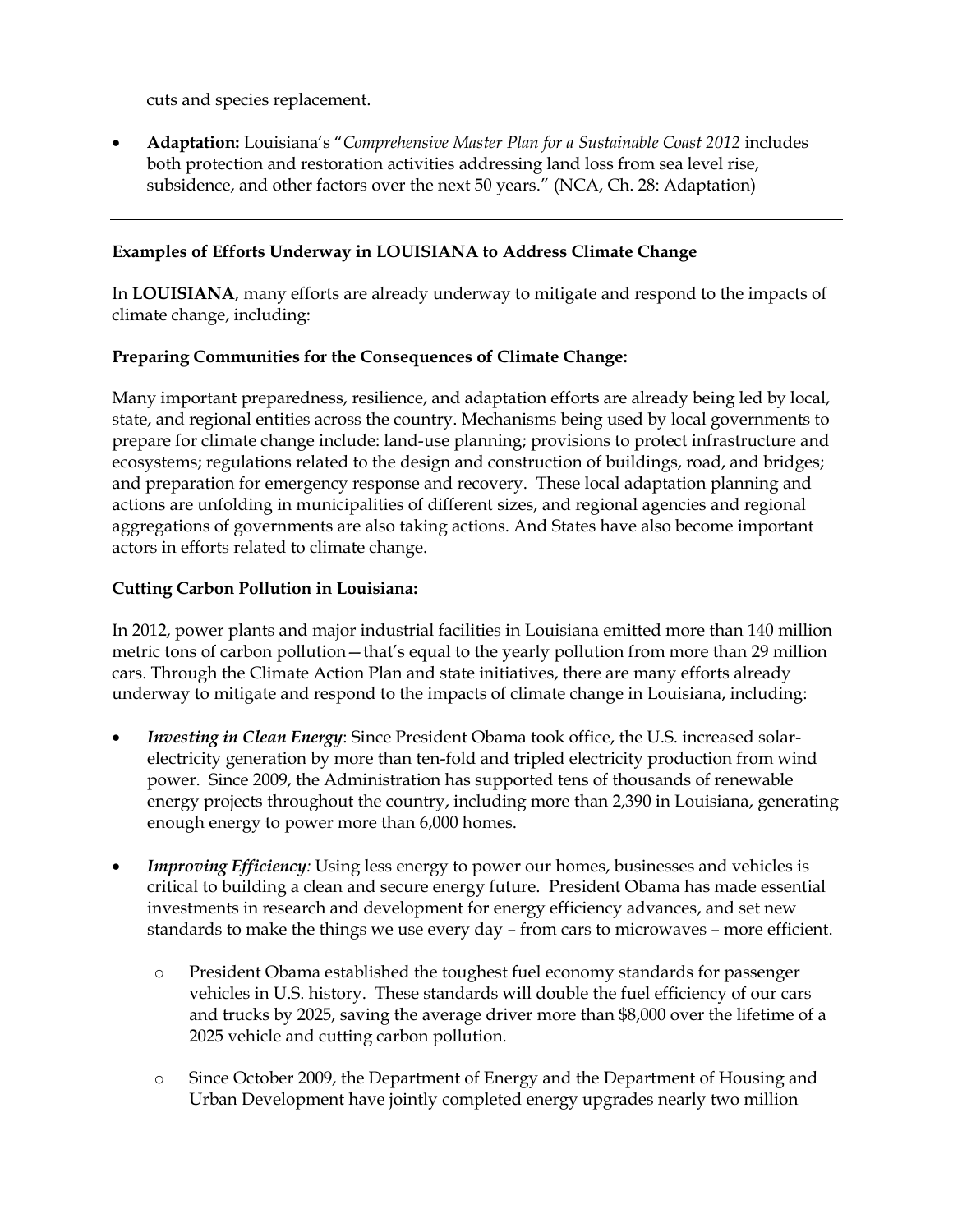cuts and species replacement.

 **Adaptation:** Louisiana's "*Comprehensive Master Plan for a Sustainable Coast 2012* includes both protection and restoration activities addressing land loss from sea level rise, subsidence, and other factors over the next 50 years." (NCA, Ch. 28: Adaptation)

#### **Examples of Efforts Underway in LOUISIANA to Address Climate Change**

In **LOUISIANA**, many efforts are already underway to mitigate and respond to the impacts of climate change, including:

#### **Preparing Communities for the Consequences of Climate Change:**

Many important preparedness, resilience, and adaptation efforts are already being led by local, state, and regional entities across the country. Mechanisms being used by local governments to prepare for climate change include: land-use planning; provisions to protect infrastructure and ecosystems; regulations related to the design and construction of buildings, road, and bridges; and preparation for emergency response and recovery. These local adaptation planning and actions are unfolding in municipalities of different sizes, and regional agencies and regional aggregations of governments are also taking actions. And States have also become important actors in efforts related to climate change.

#### **Cutting Carbon Pollution in Louisiana:**

In 2012, power plants and major industrial facilities in Louisiana emitted more than 140 million metric tons of carbon pollution—that's equal to the yearly pollution from more than 29 million cars. Through the Climate Action Plan and state initiatives, there are many efforts already underway to mitigate and respond to the impacts of climate change in Louisiana, including:

- *Investing in Clean Energy*: Since President Obama took office, the U.S. increased solarelectricity generation by more than ten-fold and tripled electricity production from wind power. Since 2009, the Administration has supported tens of thousands of renewable energy projects throughout the country, including more than 2,390 in Louisiana, generating enough energy to power more than 6,000 homes.
- *Improving Efficiency:* Using less energy to power our homes, businesses and vehicles is critical to building a clean and secure energy future. President Obama has made essential investments in research and development for energy efficiency advances, and set new standards to make the things we use every day – from cars to microwaves – more efficient.
	- o President Obama established the toughest fuel economy standards for passenger vehicles in U.S. history. These standards will double the fuel efficiency of our cars and trucks by 2025, saving the average driver more than \$8,000 over the lifetime of a 2025 vehicle and cutting carbon pollution.
	- o Since October 2009, the Department of Energy and the Department of Housing and Urban Development have jointly completed energy upgrades nearly two million